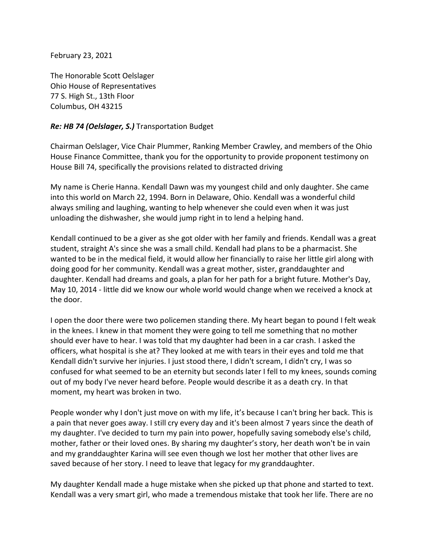February 23, 2021

The Honorable Scott Oelslager Ohio House of Representatives 77 S. High St., 13th Floor Columbus, OH 43215

## *Re: HB 74 (Oelslager, S.)* Transportation Budget

Chairman Oelslager, Vice Chair Plummer, Ranking Member Crawley, and members of the Ohio House Finance Committee, thank you for the opportunity to provide proponent testimony on House Bill 74, specifically the provisions related to distracted driving

My name is Cherie Hanna. Kendall Dawn was my youngest child and only daughter. She came into this world on March 22, 1994. Born in Delaware, Ohio. Kendall was a wonderful child always smiling and laughing, wanting to help whenever she could even when it was just unloading the dishwasher, she would jump right in to lend a helping hand.

Kendall continued to be a giver as she got older with her family and friends. Kendall was a great student, straight A's since she was a small child. Kendall had plans to be a pharmacist. She wanted to be in the medical field, it would allow her financially to raise her little girl along with doing good for her community. Kendall was a great mother, sister, granddaughter and daughter. Kendall had dreams and goals, a plan for her path for a bright future. Mother's Day, May 10, 2014 - little did we know our whole world would change when we received a knock at the door.

I open the door there were two policemen standing there. My heart began to pound I felt weak in the knees. I knew in that moment they were going to tell me something that no mother should ever have to hear. I was told that my daughter had been in a car crash. I asked the officers, what hospital is she at? They looked at me with tears in their eyes and told me that Kendall didn't survive her injuries. I just stood there, I didn't scream, I didn't cry, I was so confused for what seemed to be an eternity but seconds later I fell to my knees, sounds coming out of my body I've never heard before. People would describe it as a death cry. In that moment, my heart was broken in two.

People wonder why I don't just move on with my life, it's because I can't bring her back. This is a pain that never goes away. I still cry every day and it's been almost 7 years since the death of my daughter. I've decided to turn my pain into power, hopefully saving somebody else's child, mother, father or their loved ones. By sharing my daughter's story, her death won't be in vain and my granddaughter Karina will see even though we lost her mother that other lives are saved because of her story. I need to leave that legacy for my granddaughter.

My daughter Kendall made a huge mistake when she picked up that phone and started to text. Kendall was a very smart girl, who made a tremendous mistake that took her life. There are no